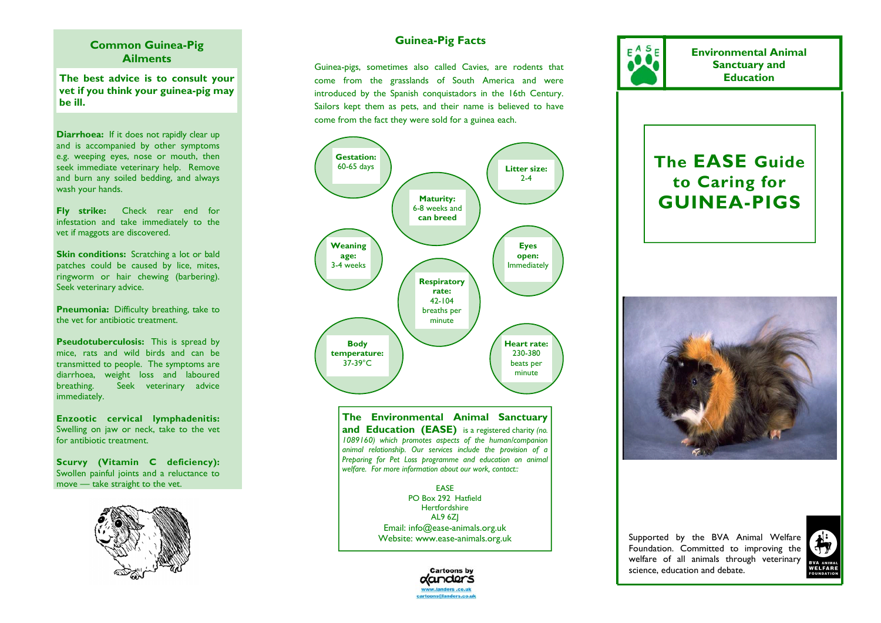### **Common Guinea-Pig Ailments**

**The best advice is to consult your vet if you think your guinea-pig may be ill.** 

**Diarrhoea:** If it does not rapidly clear up and is accompanied by other symptoms e.g. weeping eyes, nose or mouth, then seek immediate veterinary help. Remove and burn any soiled bedding, and always wash your hands.

**Fly strike:** Check rear end for infestation and take immediately to the vet if maggots are discovered.

**Skin conditions:** Scratching a lot or bald patches could be caused by lice, mites, ringworm or hair chewing (barbering). Seek veterinary advice.

**Pneumonia:** Difficulty breathing, take to the vet for antibiotic treatment.

**Pseudotuberculosis:** This is spread by mice, rats and wild birds and can be transmitted to people. The symptoms are diarrhoea, weight loss and laboured breathing. Seek veterinary advice immediately.

**Enzootic cervical lymphadenitis:**  Swelling on jaw or neck, take to the vet for antibiotic treatment.

**Scurvy (Vitamin C deficiency):**  Swollen painful joints and a reluctance to move — take straight to the vet.



# **Guinea-Pig Facts**

Guinea-pigs, sometimes also called Cavies, are rodents that come from the grasslands of South America and were introduced by the Spanish conquistadors in the 16th Century. Sailors kept them as pets, and their name is believed to have come from the fact they were sold for a guinea each.



**The Environmental Animal Sanctuary and Education (EASE)** is a registered charity *(no. 1089160) which promotes aspects of the human/companion animal relationship. Our services include the provision of a Preparing for Pet Loss programme and education on animal welfare. For more information about our work, contact::* 

> EASE PO Box 292 Hatfield Hertfordshire AL9 6ZJ Email: info@ease-animals.org.uk Website: www.ease-animals.org.uk



**Environmental Animal Sanctuary and Education** 

# **The EASE Guide to Caring for GUINEA-PIGS**



Supported by the BVA Animal Welfare Foundation. Committed to improving the welfare of all animals through veterinary science, education and debate.